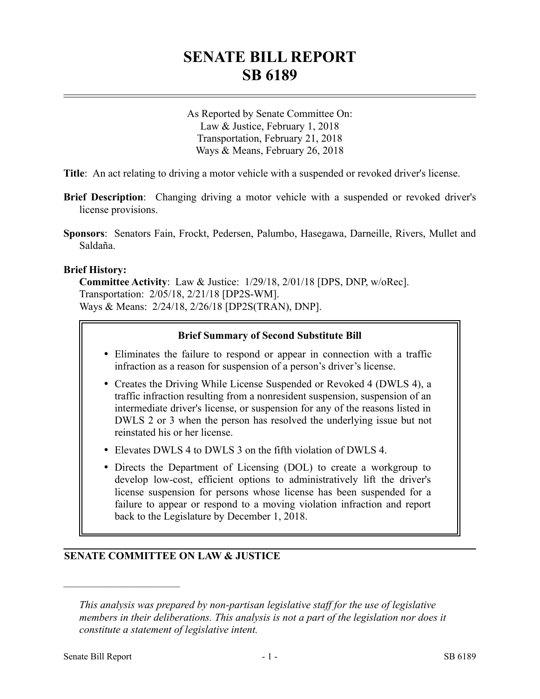# **SENATE BILL REPORT SB 6189**

As Reported by Senate Committee On: Law & Justice, February 1, 2018 Transportation, February 21, 2018 Ways & Means, February 26, 2018

**Title**: An act relating to driving a motor vehicle with a suspended or revoked driver's license.

- **Brief Description**: Changing driving a motor vehicle with a suspended or revoked driver's license provisions.
- **Sponsors**: Senators Fain, Frockt, Pedersen, Palumbo, Hasegawa, Darneille, Rivers, Mullet and Saldaña.

#### **Brief History:**

**Committee Activity**: Law & Justice: 1/29/18, 2/01/18 [DPS, DNP, w/oRec]. Transportation: 2/05/18, 2/21/18 [DP2S-WM]. Ways & Means: 2/24/18, 2/26/18 [DP2S(TRAN), DNP].

#### **Brief Summary of Second Substitute Bill**

- Eliminates the failure to respond or appear in connection with a traffic infraction as a reason for suspension of a person's driver's license.
- Creates the Driving While License Suspended or Revoked 4 (DWLS 4), a traffic infraction resulting from a nonresident suspension, suspension of an intermediate driver's license, or suspension for any of the reasons listed in DWLS 2 or 3 when the person has resolved the underlying issue but not reinstated his or her license.
- Elevates DWLS 4 to DWLS 3 on the fifth violation of DWLS 4.
- Directs the Department of Licensing (DOL) to create a workgroup to develop low-cost, efficient options to administratively lift the driver's license suspension for persons whose license has been suspended for a failure to appear or respond to a moving violation infraction and report back to the Legislature by December 1, 2018.

### **SENATE COMMITTEE ON LAW & JUSTICE**

––––––––––––––––––––––

*This analysis was prepared by non-partisan legislative staff for the use of legislative members in their deliberations. This analysis is not a part of the legislation nor does it constitute a statement of legislative intent.*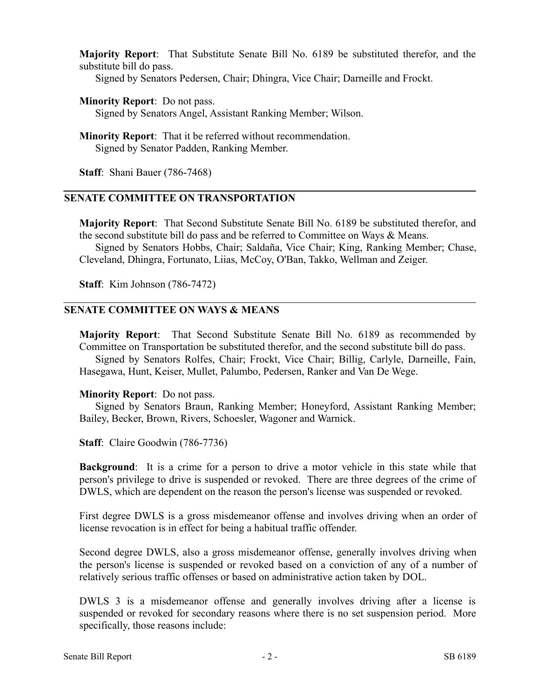**Majority Report**: That Substitute Senate Bill No. 6189 be substituted therefor, and the substitute bill do pass.

Signed by Senators Pedersen, Chair; Dhingra, Vice Chair; Darneille and Frockt.

#### **Minority Report**: Do not pass.

Signed by Senators Angel, Assistant Ranking Member; Wilson.

**Minority Report**: That it be referred without recommendation. Signed by Senator Padden, Ranking Member.

**Staff**: Shani Bauer (786-7468)

#### **SENATE COMMITTEE ON TRANSPORTATION**

**Majority Report**: That Second Substitute Senate Bill No. 6189 be substituted therefor, and the second substitute bill do pass and be referred to Committee on Ways & Means.

Signed by Senators Hobbs, Chair; Saldaña, Vice Chair; King, Ranking Member; Chase, Cleveland, Dhingra, Fortunato, Liias, McCoy, O'Ban, Takko, Wellman and Zeiger.

**Staff**: Kim Johnson (786-7472)

#### **SENATE COMMITTEE ON WAYS & MEANS**

**Majority Report**: That Second Substitute Senate Bill No. 6189 as recommended by Committee on Transportation be substituted therefor, and the second substitute bill do pass.

Signed by Senators Rolfes, Chair; Frockt, Vice Chair; Billig, Carlyle, Darneille, Fain, Hasegawa, Hunt, Keiser, Mullet, Palumbo, Pedersen, Ranker and Van De Wege.

#### **Minority Report**: Do not pass.

Signed by Senators Braun, Ranking Member; Honeyford, Assistant Ranking Member; Bailey, Becker, Brown, Rivers, Schoesler, Wagoner and Warnick.

**Staff**: Claire Goodwin (786-7736)

**Background**: It is a crime for a person to drive a motor vehicle in this state while that person's privilege to drive is suspended or revoked. There are three degrees of the crime of DWLS, which are dependent on the reason the person's license was suspended or revoked.

First degree DWLS is a gross misdemeanor offense and involves driving when an order of license revocation is in effect for being a habitual traffic offender.

Second degree DWLS, also a gross misdemeanor offense, generally involves driving when the person's license is suspended or revoked based on a conviction of any of a number of relatively serious traffic offenses or based on administrative action taken by DOL.

DWLS 3 is a misdemeanor offense and generally involves driving after a license is suspended or revoked for secondary reasons where there is no set suspension period. More specifically, those reasons include: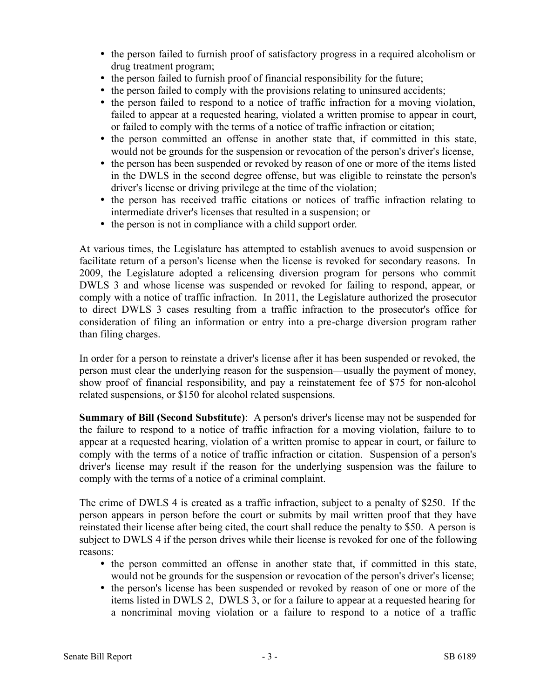- the person failed to furnish proof of satisfactory progress in a required alcoholism or drug treatment program;
- the person failed to furnish proof of financial responsibility for the future;
- the person failed to comply with the provisions relating to uninsured accidents;
- the person failed to respond to a notice of traffic infraction for a moving violation, failed to appear at a requested hearing, violated a written promise to appear in court, or failed to comply with the terms of a notice of traffic infraction or citation;
- the person committed an offense in another state that, if committed in this state, would not be grounds for the suspension or revocation of the person's driver's license,
- the person has been suspended or revoked by reason of one or more of the items listed in the DWLS in the second degree offense, but was eligible to reinstate the person's driver's license or driving privilege at the time of the violation;
- the person has received traffic citations or notices of traffic infraction relating to intermediate driver's licenses that resulted in a suspension; or
- the person is not in compliance with a child support order.

At various times, the Legislature has attempted to establish avenues to avoid suspension or facilitate return of a person's license when the license is revoked for secondary reasons. In 2009, the Legislature adopted a relicensing diversion program for persons who commit DWLS 3 and whose license was suspended or revoked for failing to respond, appear, or comply with a notice of traffic infraction. In 2011, the Legislature authorized the prosecutor to direct DWLS 3 cases resulting from a traffic infraction to the prosecutor's office for consideration of filing an information or entry into a pre-charge diversion program rather than filing charges.

In order for a person to reinstate a driver's license after it has been suspended or revoked, the person must clear the underlying reason for the suspension—usually the payment of money, show proof of financial responsibility, and pay a reinstatement fee of \$75 for non-alcohol related suspensions, or \$150 for alcohol related suspensions.

**Summary of Bill (Second Substitute)**: A person's driver's license may not be suspended for the failure to respond to a notice of traffic infraction for a moving violation, failure to to appear at a requested hearing, violation of a written promise to appear in court, or failure to comply with the terms of a notice of traffic infraction or citation. Suspension of a person's driver's license may result if the reason for the underlying suspension was the failure to comply with the terms of a notice of a criminal complaint.

The crime of DWLS 4 is created as a traffic infraction, subject to a penalty of \$250. If the person appears in person before the court or submits by mail written proof that they have reinstated their license after being cited, the court shall reduce the penalty to \$50. A person is subject to DWLS 4 if the person drives while their license is revoked for one of the following reasons:

- the person committed an offense in another state that, if committed in this state, would not be grounds for the suspension or revocation of the person's driver's license;
- the person's license has been suspended or revoked by reason of one or more of the items listed in DWLS 2, DWLS 3, or for a failure to appear at a requested hearing for a noncriminal moving violation or a failure to respond to a notice of a traffic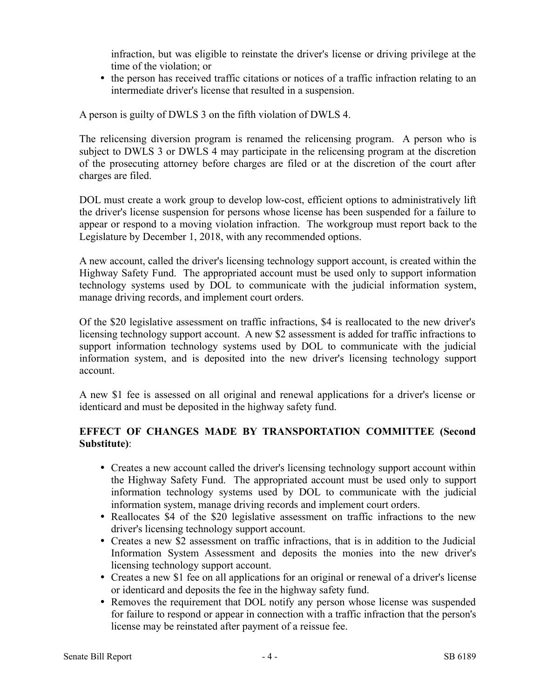infraction, but was eligible to reinstate the driver's license or driving privilege at the time of the violation; or

• the person has received traffic citations or notices of a traffic infraction relating to an intermediate driver's license that resulted in a suspension.

A person is guilty of DWLS 3 on the fifth violation of DWLS 4.

The relicensing diversion program is renamed the relicensing program. A person who is subject to DWLS 3 or DWLS 4 may participate in the relicensing program at the discretion of the prosecuting attorney before charges are filed or at the discretion of the court after charges are filed.

DOL must create a work group to develop low-cost, efficient options to administratively lift the driver's license suspension for persons whose license has been suspended for a failure to appear or respond to a moving violation infraction. The workgroup must report back to the Legislature by December 1, 2018, with any recommended options.

A new account, called the driver's licensing technology support account, is created within the Highway Safety Fund. The appropriated account must be used only to support information technology systems used by DOL to communicate with the judicial information system, manage driving records, and implement court orders.

Of the \$20 legislative assessment on traffic infractions, \$4 is reallocated to the new driver's licensing technology support account. A new \$2 assessment is added for traffic infractions to support information technology systems used by DOL to communicate with the judicial information system, and is deposited into the new driver's licensing technology support account.

A new \$1 fee is assessed on all original and renewal applications for a driver's license or identicard and must be deposited in the highway safety fund.

## **EFFECT OF CHANGES MADE BY TRANSPORTATION COMMITTEE (Second Substitute)**:

- Creates a new account called the driver's licensing technology support account within the Highway Safety Fund. The appropriated account must be used only to support information technology systems used by DOL to communicate with the judicial information system, manage driving records and implement court orders.
- Reallocates \$4 of the \$20 legislative assessment on traffic infractions to the new driver's licensing technology support account.
- Creates a new \$2 assessment on traffic infractions, that is in addition to the Judicial Information System Assessment and deposits the monies into the new driver's licensing technology support account.
- Creates a new \$1 fee on all applications for an original or renewal of a driver's license or identicard and deposits the fee in the highway safety fund.
- Removes the requirement that DOL notify any person whose license was suspended for failure to respond or appear in connection with a traffic infraction that the person's license may be reinstated after payment of a reissue fee.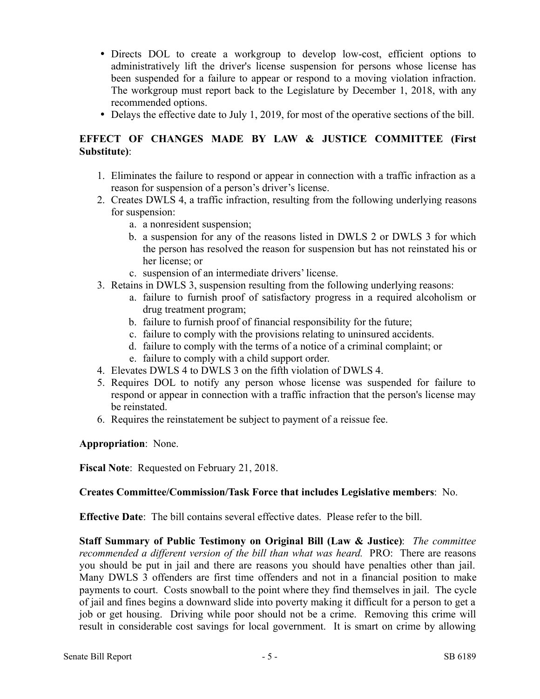- Directs DOL to create a workgroup to develop low-cost, efficient options to administratively lift the driver's license suspension for persons whose license has been suspended for a failure to appear or respond to a moving violation infraction. The workgroup must report back to the Legislature by December 1, 2018, with any recommended options.
- Delays the effective date to July 1, 2019, for most of the operative sections of the bill.

## **EFFECT OF CHANGES MADE BY LAW & JUSTICE COMMITTEE (First Substitute)**:

- 1. Eliminates the failure to respond or appear in connection with a traffic infraction as a reason for suspension of a person's driver's license.
- 2. Creates DWLS 4, a traffic infraction, resulting from the following underlying reasons for suspension:
	- a. a nonresident suspension;
	- b. a suspension for any of the reasons listed in DWLS 2 or DWLS 3 for which the person has resolved the reason for suspension but has not reinstated his or her license; or
	- c. suspension of an intermediate drivers' license.
- 3. Retains in DWLS 3, suspension resulting from the following underlying reasons:
	- a. failure to furnish proof of satisfactory progress in a required alcoholism or drug treatment program;
	- b. failure to furnish proof of financial responsibility for the future;
	- c. failure to comply with the provisions relating to uninsured accidents.
	- d. failure to comply with the terms of a notice of a criminal complaint; or
	- e. failure to comply with a child support order.
- 4. Elevates DWLS 4 to DWLS 3 on the fifth violation of DWLS 4.
- 5. Requires DOL to notify any person whose license was suspended for failure to respond or appear in connection with a traffic infraction that the person's license may be reinstated.
- 6. Requires the reinstatement be subject to payment of a reissue fee.

**Appropriation**: None.

**Fiscal Note**: Requested on February 21, 2018.

### **Creates Committee/Commission/Task Force that includes Legislative members**: No.

**Effective Date**: The bill contains several effective dates. Please refer to the bill.

**Staff Summary of Public Testimony on Original Bill (Law & Justice)**: *The committee recommended a different version of the bill than what was heard.* PRO: There are reasons you should be put in jail and there are reasons you should have penalties other than jail. Many DWLS 3 offenders are first time offenders and not in a financial position to make payments to court. Costs snowball to the point where they find themselves in jail. The cycle of jail and fines begins a downward slide into poverty making it difficult for a person to get a job or get housing. Driving while poor should not be a crime. Removing this crime will result in considerable cost savings for local government. It is smart on crime by allowing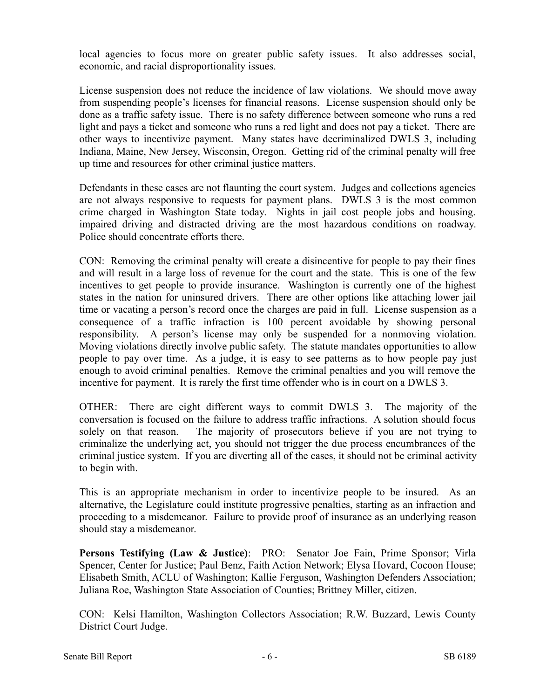local agencies to focus more on greater public safety issues. It also addresses social, economic, and racial disproportionality issues.

License suspension does not reduce the incidence of law violations. We should move away from suspending people's licenses for financial reasons. License suspension should only be done as a traffic safety issue. There is no safety difference between someone who runs a red light and pays a ticket and someone who runs a red light and does not pay a ticket. There are other ways to incentivize payment. Many states have decriminalized DWLS 3, including Indiana, Maine, New Jersey, Wisconsin, Oregon. Getting rid of the criminal penalty will free up time and resources for other criminal justice matters.

Defendants in these cases are not flaunting the court system. Judges and collections agencies are not always responsive to requests for payment plans. DWLS 3 is the most common crime charged in Washington State today. Nights in jail cost people jobs and housing. impaired driving and distracted driving are the most hazardous conditions on roadway. Police should concentrate efforts there.

CON: Removing the criminal penalty will create a disincentive for people to pay their fines and will result in a large loss of revenue for the court and the state. This is one of the few incentives to get people to provide insurance. Washington is currently one of the highest states in the nation for uninsured drivers. There are other options like attaching lower jail time or vacating a person's record once the charges are paid in full. License suspension as a consequence of a traffic infraction is 100 percent avoidable by showing personal responsibility. A person's license may only be suspended for a nonmoving violation. Moving violations directly involve public safety. The statute mandates opportunities to allow people to pay over time. As a judge, it is easy to see patterns as to how people pay just enough to avoid criminal penalties. Remove the criminal penalties and you will remove the incentive for payment. It is rarely the first time offender who is in court on a DWLS 3.

OTHER: There are eight different ways to commit DWLS 3. The majority of the conversation is focused on the failure to address traffic infractions. A solution should focus solely on that reason. The majority of prosecutors believe if you are not trying to criminalize the underlying act, you should not trigger the due process encumbrances of the criminal justice system. If you are diverting all of the cases, it should not be criminal activity to begin with.

This is an appropriate mechanism in order to incentivize people to be insured. As an alternative, the Legislature could institute progressive penalties, starting as an infraction and proceeding to a misdemeanor. Failure to provide proof of insurance as an underlying reason should stay a misdemeanor.

**Persons Testifying (Law & Justice)**: PRO: Senator Joe Fain, Prime Sponsor; Virla Spencer, Center for Justice; Paul Benz, Faith Action Network; Elysa Hovard, Cocoon House; Elisabeth Smith, ACLU of Washington; Kallie Ferguson, Washington Defenders Association; Juliana Roe, Washington State Association of Counties; Brittney Miller, citizen.

CON: Kelsi Hamilton, Washington Collectors Association; R.W. Buzzard, Lewis County District Court Judge.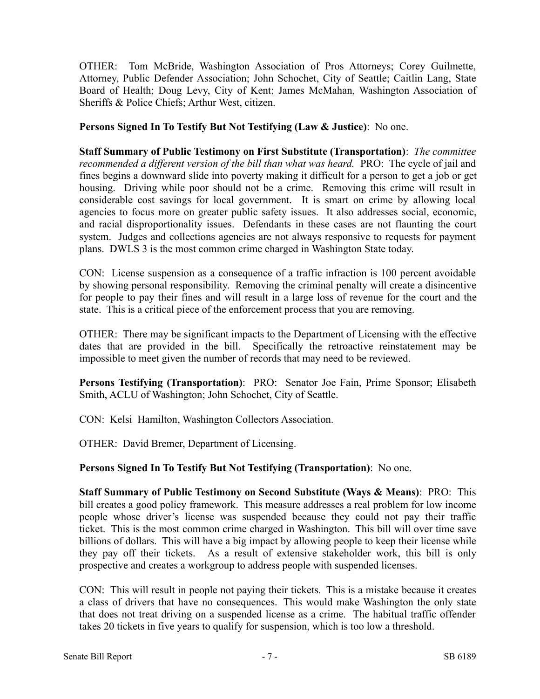OTHER: Tom McBride, Washington Association of Pros Attorneys; Corey Guilmette, Attorney, Public Defender Association; John Schochet, City of Seattle; Caitlin Lang, State Board of Health; Doug Levy, City of Kent; James McMahan, Washington Association of Sheriffs & Police Chiefs; Arthur West, citizen.

**Persons Signed In To Testify But Not Testifying (Law & Justice)**: No one.

**Staff Summary of Public Testimony on First Substitute (Transportation)**: *The committee recommended a different version of the bill than what was heard.* PRO: The cycle of jail and fines begins a downward slide into poverty making it difficult for a person to get a job or get housing. Driving while poor should not be a crime. Removing this crime will result in considerable cost savings for local government. It is smart on crime by allowing local agencies to focus more on greater public safety issues. It also addresses social, economic, and racial disproportionality issues. Defendants in these cases are not flaunting the court system. Judges and collections agencies are not always responsive to requests for payment plans. DWLS 3 is the most common crime charged in Washington State today.

CON: License suspension as a consequence of a traffic infraction is 100 percent avoidable by showing personal responsibility. Removing the criminal penalty will create a disincentive for people to pay their fines and will result in a large loss of revenue for the court and the state. This is a critical piece of the enforcement process that you are removing.

OTHER: There may be significant impacts to the Department of Licensing with the effective dates that are provided in the bill. Specifically the retroactive reinstatement may be impossible to meet given the number of records that may need to be reviewed.

**Persons Testifying (Transportation)**: PRO: Senator Joe Fain, Prime Sponsor; Elisabeth Smith, ACLU of Washington; John Schochet, City of Seattle.

CON: Kelsi Hamilton, Washington Collectors Association.

OTHER: David Bremer, Department of Licensing.

**Persons Signed In To Testify But Not Testifying (Transportation)**: No one.

**Staff Summary of Public Testimony on Second Substitute (Ways & Means)**: PRO: This bill creates a good policy framework. This measure addresses a real problem for low income people whose driver's license was suspended because they could not pay their traffic ticket. This is the most common crime charged in Washington. This bill will over time save billions of dollars. This will have a big impact by allowing people to keep their license while they pay off their tickets. As a result of extensive stakeholder work, this bill is only prospective and creates a workgroup to address people with suspended licenses.

CON: This will result in people not paying their tickets. This is a mistake because it creates a class of drivers that have no consequences. This would make Washington the only state that does not treat driving on a suspended license as a crime. The habitual traffic offender takes 20 tickets in five years to qualify for suspension, which is too low a threshold.